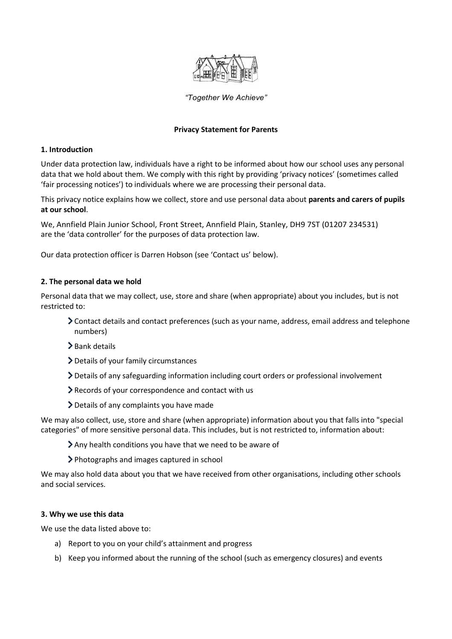

# *"Together We Achieve"*

## **Privacy Statement for Parents**

## **1. Introduction**

Under data protection law, individuals have a right to be informed about how our school uses any personal data that we hold about them. We comply with this right by providing 'privacy notices' (sometimes called 'fair processing notices') to individuals where we are processing their personal data.

This privacy notice explains how we collect, store and use personal data about **parents and carers of pupils at our school**.

We, Annfield Plain Junior School, Front Street, Annfield Plain, Stanley, DH9 7ST (01207 234531) are the 'data controller' for the purposes of data protection law.

Our data protection officer is Darren Hobson (see 'Contact us' below).

# **2. The personal data we hold**

Personal data that we may collect, use, store and share (when appropriate) about you includes, but is not restricted to:

- Contact details and contact preferences (such as your name, address, email address and telephone numbers)
- > Bank details
- Details of your family circumstances
- Details of any safeguarding information including court orders or professional involvement
- Records of your correspondence and contact with us
- Details of any complaints you have made

We may also collect, use, store and share (when appropriate) information about you that falls into "special categories" of more sensitive personal data. This includes, but is not restricted to, information about:

- Any health conditions you have that we need to be aware of
- Photographs and images captured in school

We may also hold data about you that we have received from other organisations, including other schools and social services.

## **3. Why we use this data**

We use the data listed above to:

- a) Report to you on your child's attainment and progress
- b) Keep you informed about the running of the school (such as emergency closures) and events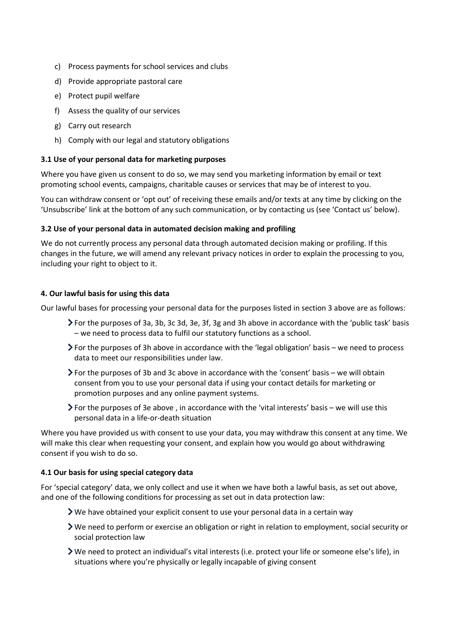- c) Process payments for school services and clubs
- d) Provide appropriate pastoral care
- e) Protect pupil welfare
- f) Assess the quality of our services
- g) Carry out research
- h) Comply with our legal and statutory obligations

## **3.1 Use of your personal data for marketing purposes**

Where you have given us consent to do so, we may send you marketing information by email or text promoting school events, campaigns, charitable causes or services that may be of interest to you.

You can withdraw consent or 'opt out' of receiving these emails and/or texts at any time by clicking on the 'Unsubscribe' link at the bottom of any such communication, or by contacting us (see 'Contact us' below).

## **3.2 Use of your personal data in automated decision making and profiling**

We do not currently process any personal data through automated decision making or profiling. If this changes in the future, we will amend any relevant privacy notices in order to explain the processing to you, including your right to object to it.

## **4. Our lawful basis for using this data**

Our lawful bases for processing your personal data for the purposes listed in section 3 above are as follows:

- For the purposes of 3a, 3b, 3c 3d, 3e, 3f, 3g and 3h above in accordance with the 'public task' basis – we need to process data to fulfil our statutory functions as a school.
- For the purposes of 3h above in accordance with the 'legal obligation' basis we need to process data to meet our responsibilities under law.
- $\blacktriangleright$  For the purposes of 3b and 3c above in accordance with the 'consent' basis we will obtain consent from you to use your personal data if using your contact details for marketing or promotion purposes and any online payment systems.
- For the purposes of 3e above , in accordance with the 'vital interests' basis we will use this personal data in a life-or-death situation

Where you have provided us with consent to use your data, you may withdraw this consent at any time. We will make this clear when requesting your consent, and explain how you would go about withdrawing consent if you wish to do so.

## **4.1 Our basis for using special category data**

For 'special category' data, we only collect and use it when we have both a lawful basis, as set out above, and one of the following conditions for processing as set out in data protection law:

- We have obtained your explicit consent to use your personal data in a certain way
- We need to perform or exercise an obligation or right in relation to employment, social security or social protection law
- We need to protect an individual's vital interests (i.e. protect your life or someone else's life), in situations where you're physically or legally incapable of giving consent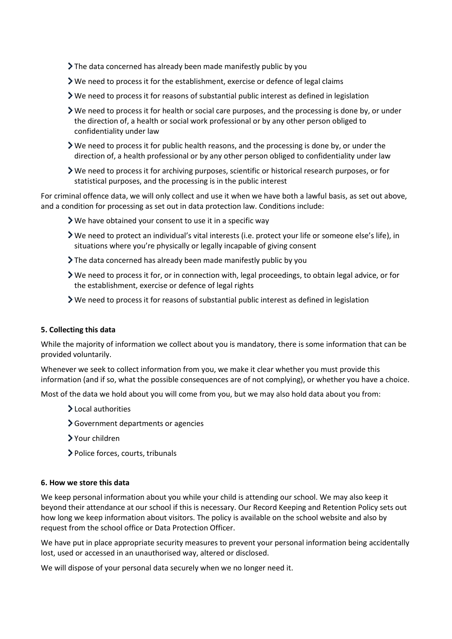- If the data concerned has already been made manifestly public by you
- We need to process it for the establishment, exercise or defence of legal claims
- $\triangleright$  We need to process it for reasons of substantial public interest as defined in legislation
- $\triangleright$  We need to process it for health or social care purposes, and the processing is done by, or under the direction of, a health or social work professional or by any other person obliged to confidentiality under law
- $\triangleright$  We need to process it for public health reasons, and the processing is done by, or under the direction of, a health professional or by any other person obliged to confidentiality under law
- We need to process it for archiving purposes, scientific or historical research purposes, or for statistical purposes, and the processing is in the public interest

For criminal offence data, we will only collect and use it when we have both a lawful basis, as set out above, and a condition for processing as set out in data protection law. Conditions include:

- We have obtained your consent to use it in a specific way
- We need to protect an individual's vital interests (i.e. protect your life or someone else's life), in situations where you're physically or legally incapable of giving consent
- $\sum$  The data concerned has already been made manifestly public by you
- We need to process it for, or in connection with, legal proceedings, to obtain legal advice, or for the establishment, exercise or defence of legal rights
- We need to process it for reasons of substantial public interest as defined in legislation

#### **5. Collecting this data**

While the majority of information we collect about you is mandatory, there is some information that can be provided voluntarily.

Whenever we seek to collect information from you, we make it clear whether you must provide this information (and if so, what the possible consequences are of not complying), or whether you have a choice.

Most of the data we hold about you will come from you, but we may also hold data about you from:

- > Local authorities
- Government departments or agencies
- Your children
- Police forces, courts, tribunals

### **6. How we store this data**

We keep personal information about you while your child is attending our school. We may also keep it beyond their attendance at our school if this is necessary. Our Record Keeping and Retention Policy sets out how long we keep information about visitors. The policy is available on the school website and also by request from the school office or Data Protection Officer.

We have put in place appropriate security measures to prevent your personal information being accidentally lost, used or accessed in an unauthorised way, altered or disclosed.

We will dispose of your personal data securely when we no longer need it.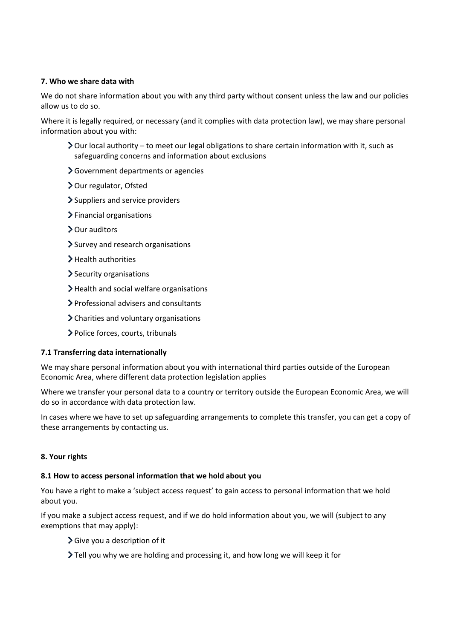# **7. Who we share data with**

We do not share information about you with any third party without consent unless the law and our policies allow us to do so.

Where it is legally required, or necessary (and it complies with data protection law), we may share personal information about you with:

- Our local authority to meet our legal obligations to share certain information with it, such as safeguarding concerns and information about exclusions
- Government departments or agencies
- **>** Our regulator, Ofsted
- Suppliers and service providers
- > Financial organisations
- > Our auditors
- > Survey and research organisations
- > Health authorities
- > Security organisations
- Health and social welfare organisations
- Professional advisers and consultants
- Charities and voluntary organisations
- Police forces, courts, tribunals

## **7.1 Transferring data internationally**

We may share personal information about you with international third parties outside of the European Economic Area, where different data protection legislation applies

Where we transfer your personal data to a country or territory outside the European Economic Area, we will do so in accordance with data protection law.

In cases where we have to set up safeguarding arrangements to complete this transfer, you can get a copy of these arrangements by contacting us.

## **8. Your rights**

## **8.1 How to access personal information that we hold about you**

You have a right to make a 'subject access request' to gain access to personal information that we hold about you.

If you make a subject access request, and if we do hold information about you, we will (subject to any exemptions that may apply):

- $\sum$  Give you a description of it
- Tell you why we are holding and processing it, and how long we will keep it for